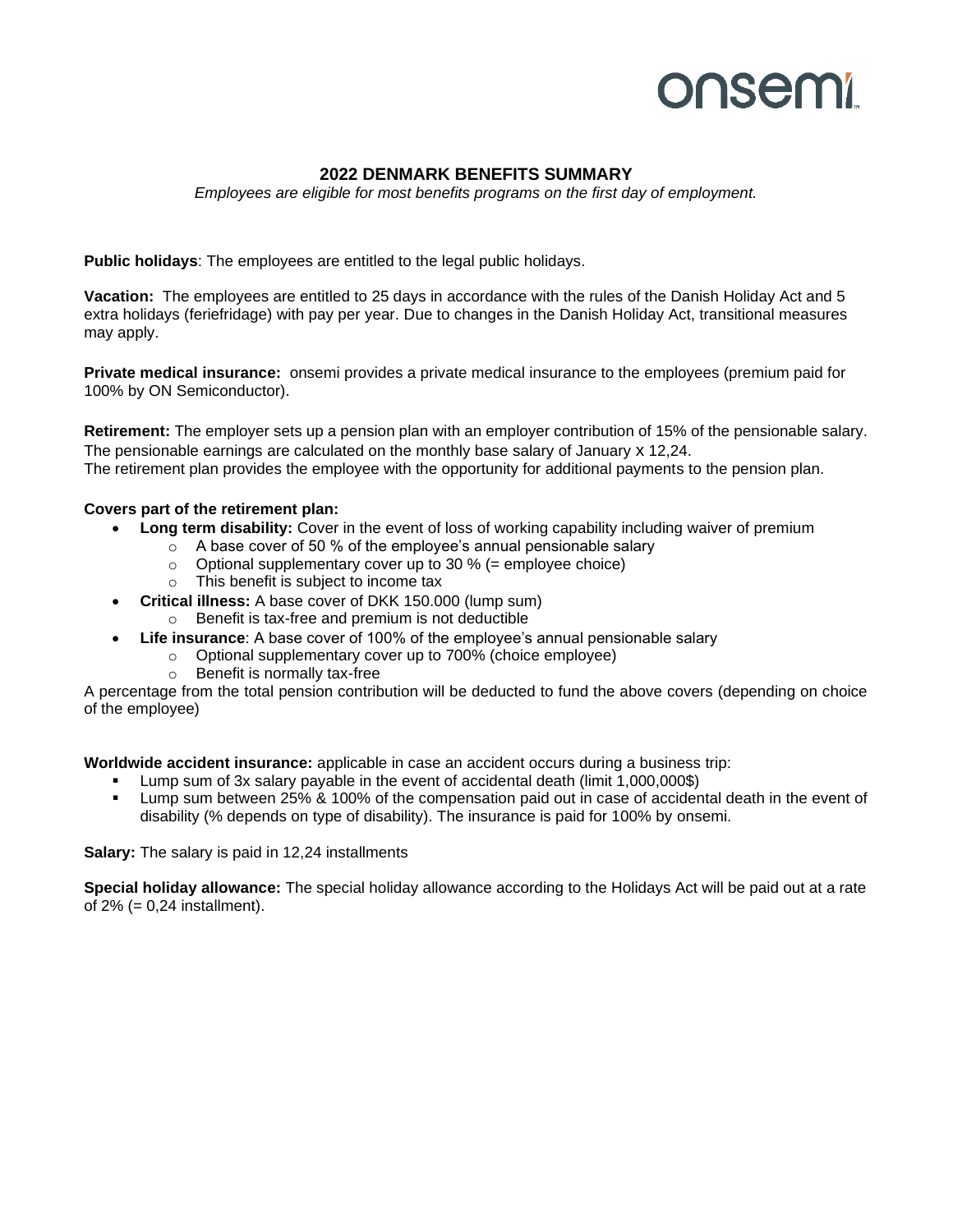## **onsemi**

## **2022 DENMARK BENEFITS SUMMARY**

*Employees are eligible for most benefits programs on the first day of employment.*

**Public holidays**: The employees are entitled to the legal public holidays.

**Vacation:** The employees are entitled to 25 days in accordance with the rules of the Danish Holiday Act and 5 extra holidays (feriefridage) with pay per year. Due to changes in the Danish Holiday Act, transitional measures may apply.

**Private medical insurance:** onsemi provides a private medical insurance to the employees (premium paid for 100% by ON Semiconductor).

**Retirement:** The employer sets up a pension plan with an employer contribution of 15% of the pensionable salary. The pensionable earnings are calculated on the monthly base salary of January x 12,24. The retirement plan provides the employee with the opportunity for additional payments to the pension plan.

## **Covers part of the retirement plan:**

- **Long term disability:** Cover in the event of loss of working capability including waiver of premium
	- o A base cover of 50 % of the employee's annual pensionable salary
	- $\circ$  Optional supplementary cover up to 30 % (= employee choice)
	- o This benefit is subject to income tax
- **Critical illness:** A base cover of DKK 150.000 (lump sum)
	- o Benefit is tax-free and premium is not deductible
	- **Life insurance**: A base cover of 100% of the employee's annual pensionable salary
		- o Optional supplementary cover up to 700% (choice employee)
		- o Benefit is normally tax-free

A percentage from the total pension contribution will be deducted to fund the above covers (depending on choice of the employee)

**Worldwide accident insurance:** applicable in case an accident occurs during a business trip:

- Lump sum of 3x salary payable in the event of accidental death (limit 1,000,000\$)
- Lump sum between 25% & 100% of the compensation paid out in case of accidental death in the event of disability (% depends on type of disability). The insurance is paid for 100% by onsemi.

**Salary:** The salary is paid in 12,24 installments

**Special holiday allowance:** The special holiday allowance according to the Holidays Act will be paid out at a rate of  $2\%$  (= 0,24 installment).